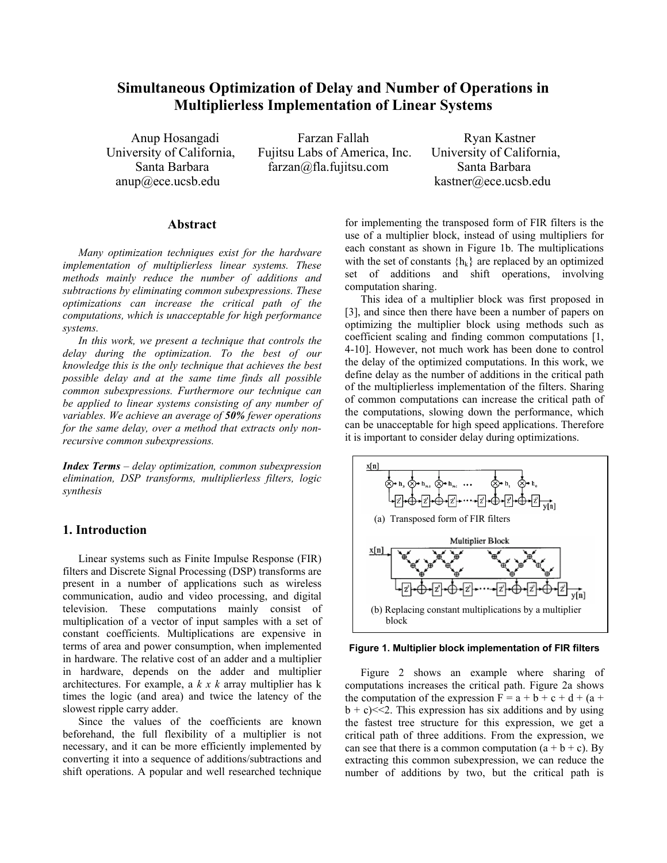# **Simultaneous Optimization of Delay and Number of Operations in Multiplierless Implementation of Linear Systems**

Anup Hosangadi Farzan Fallah Ryan Kastner University of California, Fujitsu Labs of America, Inc. University of California, Santa Barbara **farzan@fla.fujitsu.com** Santa Barbara

anup@ece.ucsb.edu kastner@ece.ucsb.edu

### **Abstract**

*Many optimization techniques exist for the hardware implementation of multiplierless linear systems. These methods mainly reduce the number of additions and subtractions by eliminating common subexpressions. These optimizations can increase the critical path of the computations, which is unacceptable for high performance systems.* 

 *In this work, we present a technique that controls the delay during the optimization. To the best of our knowledge this is the only technique that achieves the best possible delay and at the same time finds all possible common subexpressions. Furthermore our technique can be applied to linear systems consisting of any number of variables. We achieve an average of 50% fewer operations for the same delay, over a method that extracts only nonrecursive common subexpressions.* 

*Index Terms – delay optimization, common subexpression elimination, DSP transforms, multiplierless filters, logic synthesis* 

# **1. Introduction**

Linear systems such as Finite Impulse Response (FIR) filters and Discrete Signal Processing (DSP) transforms are present in a number of applications such as wireless communication, audio and video processing, and digital television. These computations mainly consist of multiplication of a vector of input samples with a set of constant coefficients. Multiplications are expensive in terms of area and power consumption, when implemented in hardware. The relative cost of an adder and a multiplier in hardware, depends on the adder and multiplier architectures. For example, a *k x k* array multiplier has k times the logic (and area) and twice the latency of the slowest ripple carry adder.

 Since the values of the coefficients are known beforehand, the full flexibility of a multiplier is not necessary, and it can be more efficiently implemented by converting it into a sequence of additions/subtractions and shift operations. A popular and well researched technique

for implementing the transposed form of FIR filters is the use of a multiplier block, instead of using multipliers for each constant as shown in Figure 1b. The multiplications with the set of constants  $\{h_k\}$  are replaced by an optimized set of additions and shift operations, involving computation sharing.

 This idea of a multiplier block was first proposed in [3], and since then there have been a number of papers on optimizing the multiplier block using methods such as coefficient scaling and finding common computations [1, 4-10]. However, not much work has been done to control the delay of the optimized computations. In this work, we define delay as the number of additions in the critical path of the multiplierless implementation of the filters. Sharing of common computations can increase the critical path of the computations, slowing down the performance, which can be unacceptable for high speed applications. Therefore it is important to consider delay during optimizations.



### **Figure 1. Multiplier block implementation of FIR filters**

 Figure 2 shows an example where sharing of computations increases the critical path. Figure 2a shows the computation of the expression  $F = a + b + c + d + (a + b)$  $b + c$  < 2. This expression has six additions and by using the fastest tree structure for this expression, we get a critical path of three additions. From the expression, we can see that there is a common computation  $(a + b + c)$ . By extracting this common subexpression, we can reduce the number of additions by two, but the critical path is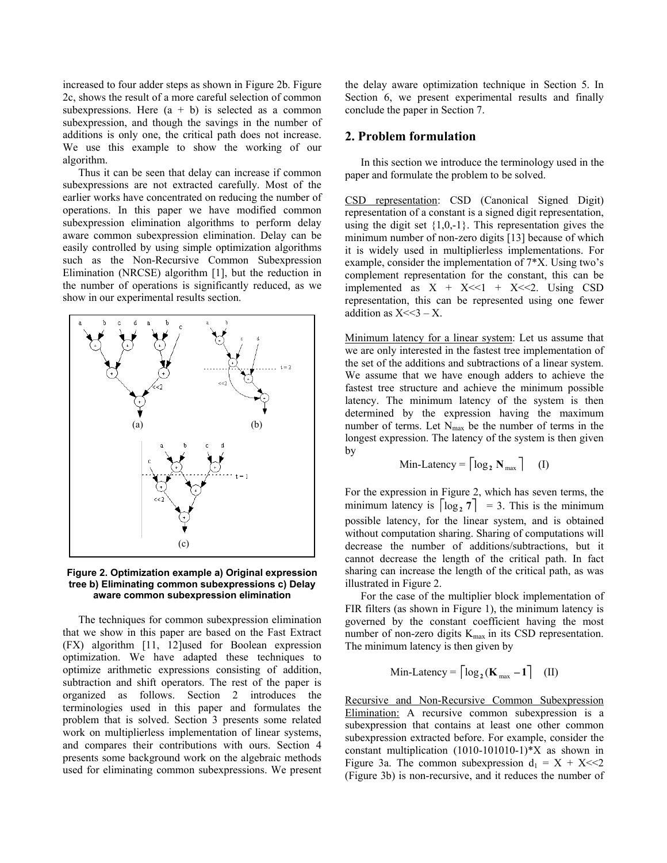increased to four adder steps as shown in Figure 2b. Figure 2c, shows the result of a more careful selection of common subexpressions. Here  $(a + b)$  is selected as a common subexpression, and though the savings in the number of additions is only one, the critical path does not increase. We use this example to show the working of our algorithm.

 Thus it can be seen that delay can increase if common subexpressions are not extracted carefully. Most of the earlier works have concentrated on reducing the number of operations. In this paper we have modified common subexpression elimination algorithms to perform delay aware common subexpression elimination. Delay can be easily controlled by using simple optimization algorithms such as the Non-Recursive Common Subexpression Elimination (NRCSE) algorithm [1], but the reduction in the number of operations is significantly reduced, as we show in our experimental results section.



**Figure 2. Optimization example a) Original expression tree b) Eliminating common subexpressions c) Delay aware common subexpression elimination** 

 The techniques for common subexpression elimination that we show in this paper are based on the Fast Extract (FX) algorithm [11, 12]used for Boolean expression optimization. We have adapted these techniques to optimize arithmetic expressions consisting of addition, subtraction and shift operators. The rest of the paper is organized as follows. Section 2 introduces the terminologies used in this paper and formulates the problem that is solved. Section 3 presents some related work on multiplierless implementation of linear systems, and compares their contributions with ours. Section 4 presents some background work on the algebraic methods used for eliminating common subexpressions. We present the delay aware optimization technique in Section 5. In Section 6, we present experimental results and finally conclude the paper in Section 7.

### **2. Problem formulation**

 In this section we introduce the terminology used in the paper and formulate the problem to be solved.

CSD representation: CSD (Canonical Signed Digit) representation of a constant is a signed digit representation, using the digit set  $\{1,0,-1\}$ . This representation gives the minimum number of non-zero digits [13] because of which it is widely used in multiplierless implementations. For example, consider the implementation of 7\*X. Using two's complement representation for the constant, this can be implemented as  $X + X \le 1 + X \le 2$ . Using CSD representation, this can be represented using one fewer addition as  $X \leq 3 - X$ .

Minimum latency for a linear system: Let us assume that we are only interested in the fastest tree implementation of the set of the additions and subtractions of a linear system. We assume that we have enough adders to achieve the fastest tree structure and achieve the minimum possible latency. The minimum latency of the system is then determined by the expression having the maximum number of terms. Let  $N_{\text{max}}$  be the number of terms in the longest expression. The latency of the system is then given by

Min-Latency = 
$$
\lceil \log_2 N_{\text{max}} \rceil
$$
 (I)

For the expression in Figure 2, which has seven terms, the minimum latency is  $\lceil \log_2 7 \rceil = 3$ . This is the minimum possible latency, for the linear system, and is obtained without computation sharing. Sharing of computations will decrease the number of additions/subtractions, but it cannot decrease the length of the critical path. In fact sharing can increase the length of the critical path, as was illustrated in Figure 2.

 For the case of the multiplier block implementation of FIR filters (as shown in Figure 1), the minimum latency is governed by the constant coefficient having the most number of non-zero digits  $K_{\text{max}}$  in its CSD representation. The minimum latency is then given by

$$
Min\text{-}Latency = \lceil \log_2(\mathbf{K}_{\text{max}} - 1) \rceil \quad (\text{II})
$$

Recursive and Non-Recursive Common Subexpression Elimination: A recursive common subexpression is a subexpression that contains at least one other common subexpression extracted before. For example, consider the constant multiplication (1010-101010-1)\*X as shown in Figure 3a. The common subexpression  $d_1 = X + X \ll 2$ (Figure 3b) is non-recursive, and it reduces the number of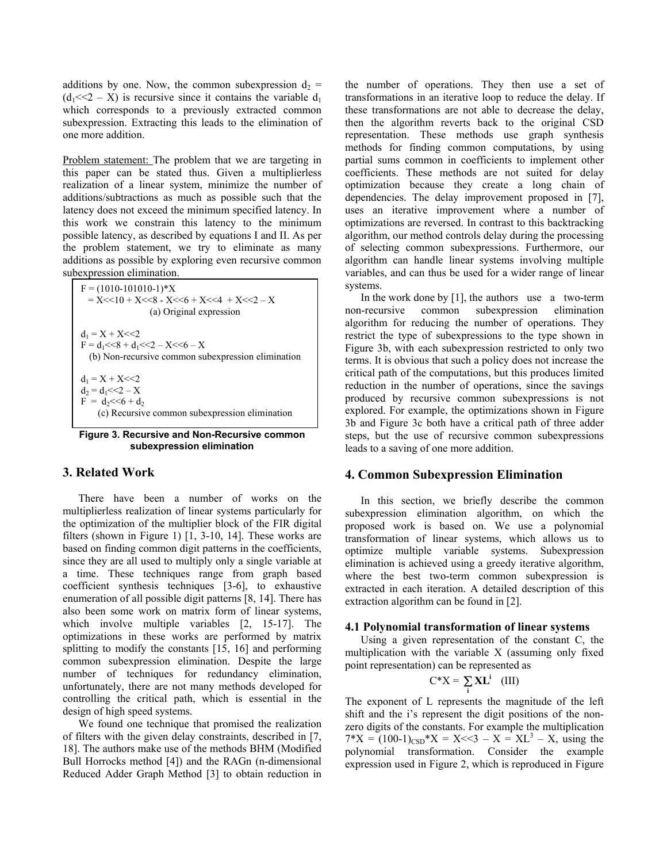additions by one. Now, the common subexpression  $d_2$  =  $(d_1 \ll 2 - X)$  is recursive since it contains the variable  $d_1$ which corresponds to a previously extracted common subexpression. Extracting this leads to the elimination of one more addition.

Problem statement: The problem that we are targeting in this paper can be stated thus. Given a multiplierless realization of a linear system, minimize the number of additions/subtractions as much as possible such that the latency does not exceed the minimum specified latency. In this work we constrain this latency to the minimum possible latency, as described by equations I and II. As per the problem statement, we try to eliminate as many additions as possible by exploring even recursive common subexpression elimination.

 $F = (1010-101010-1)*X$  $= X \le 10 + X \le 8 - X \le 6 + X \le 4 + X \le 2 - X$ (a) Original expression  $d_1 = X + X \leq 2$  $F = d_1 \ll 8 + d_1 \ll 2 - X \ll 6 - X$ (b) Non-recursive common subexpression elimination  $d_1 = X + X \leq 2$  $d_2 = d_1 \leq 2 - X$  $F = d_2 \ll 6 + d_2$ (c) Recursive common subexpression elimination

#### **Figure 3. Recursive and Non-Recursive common subexpression elimination**

### **3. Related Work**

 There have been a number of works on the multiplierless realization of linear systems particularly for the optimization of the multiplier block of the FIR digital filters (shown in Figure 1) [1, 3-10, 14]. These works are based on finding common digit patterns in the coefficients, since they are all used to multiply only a single variable at a time. These techniques range from graph based coefficient synthesis techniques [3-6], to exhaustive enumeration of all possible digit patterns [8, 14]. There has also been some work on matrix form of linear systems, which involve multiple variables [2, 15-17]. The optimizations in these works are performed by matrix splitting to modify the constants [15, 16] and performing common subexpression elimination. Despite the large number of techniques for redundancy elimination, unfortunately, there are not many methods developed for controlling the critical path, which is essential in the design of high speed systems.

 We found one technique that promised the realization of filters with the given delay constraints, described in [7, 18]. The authors make use of the methods BHM (Modified Bull Horrocks method [4]) and the RAGn (n-dimensional Reduced Adder Graph Method [3] to obtain reduction in the number of operations. They then use a set of transformations in an iterative loop to reduce the delay. If these transformations are not able to decrease the delay, then the algorithm reverts back to the original CSD representation. These methods use graph synthesis methods for finding common computations, by using partial sums common in coefficients to implement other coefficients. These methods are not suited for delay optimization because they create a long chain of dependencies. The delay improvement proposed in [7], uses an iterative improvement where a number of optimizations are reversed. In contrast to this backtracking algorithm, our method controls delay during the processing of selecting common subexpressions. Furthermore, our algorithm can handle linear systems involving multiple variables, and can thus be used for a wider range of linear systems.

In the work done by  $[1]$ , the authors use a two-term non-recursive common subexpression elimination algorithm for reducing the number of operations. They restrict the type of subexpressions to the type shown in Figure 3b, with each subexpression restricted to only two terms. It is obvious that such a policy does not increase the critical path of the computations, but this produces limited reduction in the number of operations, since the savings produced by recursive common subexpressions is not explored. For example, the optimizations shown in Figure 3b and Figure 3c both have a critical path of three adder steps, but the use of recursive common subexpressions leads to a saving of one more addition.

### **4. Common Subexpression Elimination**

 In this section, we briefly describe the common subexpression elimination algorithm, on which the proposed work is based on. We use a polynomial transformation of linear systems, which allows us to optimize multiple variable systems. Subexpression elimination is achieved using a greedy iterative algorithm, where the best two-term common subexpression is extracted in each iteration. A detailed description of this extraction algorithm can be found in [2].

#### **4.1 Polynomial transformation of linear systems**

Using a given representation of the constant C, the multiplication with the variable X (assuming only fixed point representation) can be represented as

$$
C^*X = \sum_i \mathbf{XL}^i \quad (III)
$$

The exponent of L represents the magnitude of the left shift and the i's represent the digit positions of the nonzero digits of the constants. For example the multiplication  $7^*X = (100-1)_{\text{CSD}}^*X = X \le 3 - X = XL^3 - X$ , using the polynomial transformation. Consider the example expression used in Figure 2, which is reproduced in Figure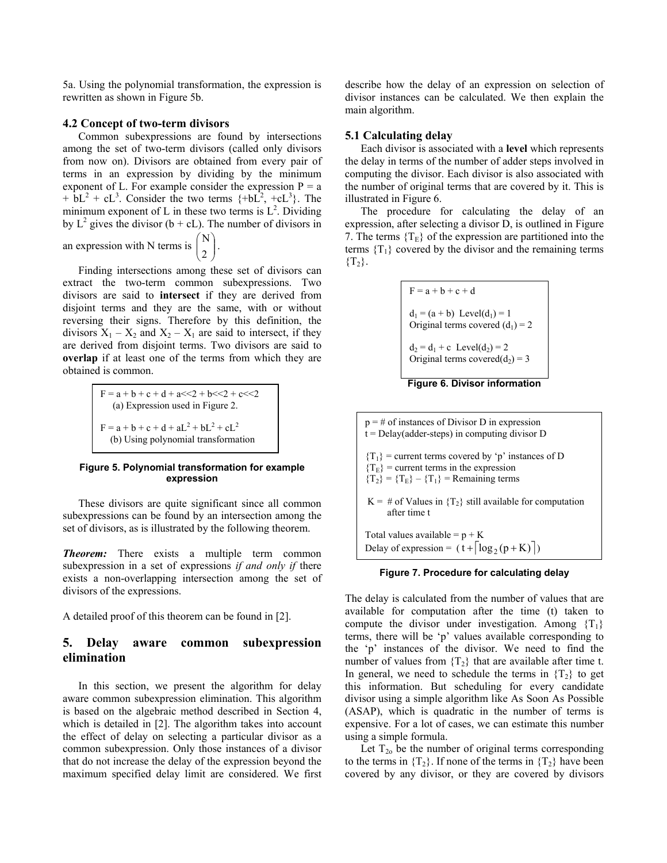5a. Using the polynomial transformation, the expression is rewritten as shown in Figure 5b.

#### **4.2 Concept of two-term divisors**

 Common subexpressions are found by intersections among the set of two-term divisors (called only divisors from now on). Divisors are obtained from every pair of terms in an expression by dividing by the minimum exponent of L. For example consider the expression  $P = a$  $+ bL^2 + cL^3$ . Consider the two terms  $\{ +bL^2, +cL^3 \}$ . The minimum exponent of L in these two terms is  $L^2$ . Dividing by  $L^2$  gives the divisor (b + cL). The number of divisors in

an expression with N terms is  $\begin{bmatrix} 1 \\ 2 \end{bmatrix}$ J  $\backslash$  $\overline{\phantom{a}}$  $\overline{\mathcal{L}}$ ſ  $\binom{N}{2}$ .

 Finding intersections among these set of divisors can extract the two-term common subexpressions. Two divisors are said to **intersect** if they are derived from disjoint terms and they are the same, with or without reversing their signs. Therefore by this definition, the divisors  $X_1 - X_2$  and  $X_2 - X_1$  are said to intersect, if they are derived from disjoint terms. Two divisors are said to **overlap** if at least one of the terms from which they are obtained is common.

> $F = a + b + c + d + a \ll 2 + b \ll 2 + c \ll 2$  (a) Expression used in Figure 2.  $F = a + b + c + d + aL^{2} + bL^{2} + cL^{2}$ (b) Using polynomial transformation

### **Figure 5. Polynomial transformation for example expression**

 These divisors are quite significant since all common subexpressions can be found by an intersection among the set of divisors, as is illustrated by the following theorem.

*Theorem:* There exists a multiple term common subexpression in a set of expressions *if and only if* there exists a non-overlapping intersection among the set of divisors of the expressions.

A detailed proof of this theorem can be found in [2].

# **5. Delay aware common subexpression elimination**

 In this section, we present the algorithm for delay aware common subexpression elimination. This algorithm is based on the algebraic method described in Section 4, which is detailed in [2]. The algorithm takes into account the effect of delay on selecting a particular divisor as a common subexpression. Only those instances of a divisor that do not increase the delay of the expression beyond the maximum specified delay limit are considered. We first describe how the delay of an expression on selection of divisor instances can be calculated. We then explain the main algorithm.

### **5.1 Calculating delay**

Each divisor is associated with a **level** which represents the delay in terms of the number of adder steps involved in computing the divisor. Each divisor is also associated with the number of original terms that are covered by it. This is illustrated in Figure 6.

 The procedure for calculating the delay of an expression, after selecting a divisor D, is outlined in Figure 7. The terms  ${T<sub>E</sub>}$  of the expression are partitioned into the terms  ${T<sub>1</sub>}$  covered by the divisor and the remaining terms  ${T_2}.$ 

$$
F = a + b + c + d
$$
  
\n
$$
d_1 = (a + b) \text{ Level}(d_1) = 1
$$
  
\nOriginal terms covered  $(d_1) = 2$   
\n
$$
d_2 = d_1 + c \text{ Level}(d_2) = 2
$$
  
\nOriginal terms covered  $(d_2) = 3$ 

#### **Figure 6. Divisor information**

 $p = #$  of instances of Divisor D in expression  $t =$  Delay(adder-steps) in computing divisor D  ${T_1}$  = current terms covered by 'p' instances of D  ${T<sub>E</sub>}$  = current terms in the expression  ${T_2} = {T_E} - {T_1} =$  Remaining terms K = # of Values in  $\{T_2\}$  still available for computation after time t Total values available =  $p + K$ Delay of expression =  $(t + \lceil \log_2(p+K) \rceil)$ 

#### **Figure 7. Procedure for calculating delay**

The delay is calculated from the number of values that are available for computation after the time (t) taken to compute the divisor under investigation. Among  ${T_1}$ terms, there will be 'p' values available corresponding to the 'p' instances of the divisor. We need to find the number of values from  ${T_2}$  that are available after time t. In general, we need to schedule the terms in  ${T<sub>2</sub>}$  to get this information. But scheduling for every candidate divisor using a simple algorithm like As Soon As Possible (ASAP), which is quadratic in the number of terms is expensive. For a lot of cases, we can estimate this number using a simple formula.

Let  $T_{20}$  be the number of original terms corresponding to the terms in  ${T_2}$ . If none of the terms in  ${T_2}$  have been covered by any divisor, or they are covered by divisors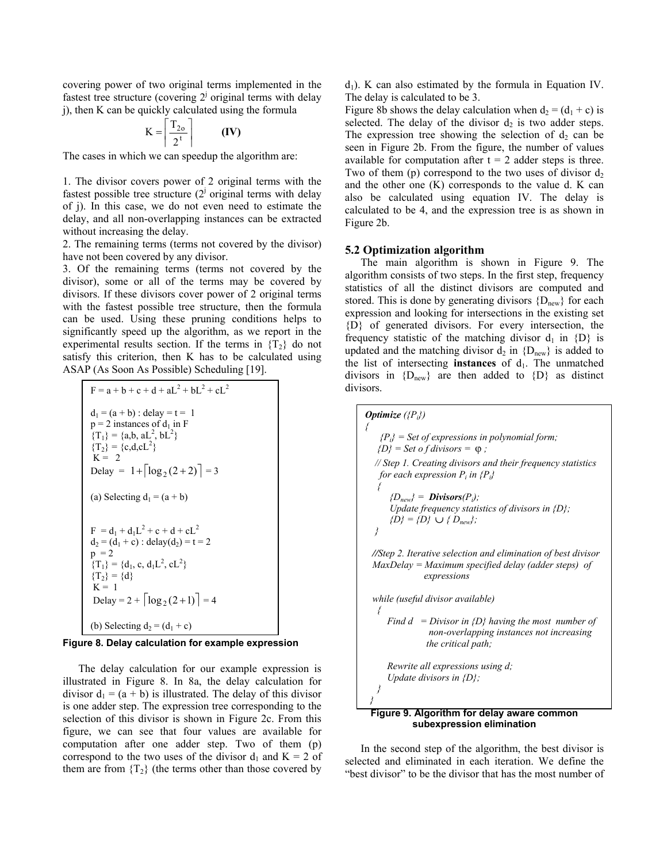covering power of two original terms implemented in the fastest tree structure (covering  $2<sup>j</sup>$  original terms with delay j), then K can be quickly calculated using the formula

$$
K = \left\lceil \frac{T_{2o}}{2^t} \right\rceil \qquad (IV)
$$

The cases in which we can speedup the algorithm are:

1. The divisor covers power of 2 original terms with the fastest possible tree structure  $(2^j)$  original terms with delay of j). In this case, we do not even need to estimate the delay, and all non-overlapping instances can be extracted without increasing the delay.

2. The remaining terms (terms not covered by the divisor) have not been covered by any divisor.

3. Of the remaining terms (terms not covered by the divisor), some or all of the terms may be covered by divisors. If these divisors cover power of 2 original terms with the fastest possible tree structure, then the formula can be used. Using these pruning conditions helps to significantly speed up the algorithm, as we report in the experimental results section. If the terms in  $\{T_2\}$  do not satisfy this criterion, then K has to be calculated using ASAP (As Soon As Possible) Scheduling [19].

F = a + b + c + d + aL<sup>2</sup> + bL<sup>2</sup> + cL<sup>2</sup>  
\nd<sub>1</sub> = (a + b) : delay = t = 1  
\np = 2 instances of d<sub>1</sub> in F  
\n{T<sub>1</sub>} = {a,b, aL<sup>2</sup>, bL<sup>2</sup>}  
\n{T<sub>2</sub>} = {c,d,cL<sup>2</sup>}  
\nK = 2  
\nDelay = 1+
$$
\lceil log_2(2+2)\rceil
$$
 = 3  
\n(a) Selecting d<sub>1</sub> = (a + b)  
\nF = d<sub>1</sub> + d<sub>1</sub>L<sup>2</sup> + c + d + cL<sup>2</sup>  
\nd<sub>2</sub> = (d<sub>1</sub> + c) : delay(d<sub>2</sub>) = t = 2  
\np = 2  
\n{T<sub>1</sub>} = {d<sub>1</sub>, c, d<sub>1</sub>L<sup>2</sup>, cL<sup>2</sup>}  
\n{T<sub>2</sub>} = {d}  
\nK = 1  
\nDelay = 2 +  $\lceil log_2(2+1) \rceil$  = 4  
\n(b) Selecting d<sub>2</sub> = (d<sub>1</sub> + c)

#### **Figure 8. Delay calculation for example expression**

 The delay calculation for our example expression is illustrated in Figure 8. In 8a, the delay calculation for divisor  $d_1 = (a + b)$  is illustrated. The delay of this divisor is one adder step. The expression tree corresponding to the selection of this divisor is shown in Figure 2c. From this figure, we can see that four values are available for computation after one adder step. Two of them (p) correspond to the two uses of the divisor  $d_1$  and  $K = 2$  of them are from  $\{T_2\}$  (the terms other than those covered by

 $d_1$ ). K can also estimated by the formula in Equation IV. The delay is calculated to be 3.

Figure 8b shows the delay calculation when  $d_2 = (d_1 + c)$  is selected. The delay of the divisor  $d_2$  is two adder steps. The expression tree showing the selection of  $d_2$  can be seen in Figure 2b. From the figure, the number of values available for computation after  $t = 2$  adder steps is three. Two of them (p) correspond to the two uses of divisor  $d_2$ and the other one (K) corresponds to the value d. K can also be calculated using equation IV. The delay is calculated to be 4, and the expression tree is as shown in Figure 2b.

#### **5.2 Optimization algorithm**

 The main algorithm is shown in Figure 9. The algorithm consists of two steps. In the first step, frequency statistics of all the distinct divisors are computed and stored. This is done by generating divisors  ${D_{new}}$  for each expression and looking for intersections in the existing set {D} of generated divisors. For every intersection, the frequency statistic of the matching divisor  $d_1$  in  $\{D\}$  is updated and the matching divisor  $d_2$  in  $\{D_{new}\}\$ is added to the list of intersecting **instances** of  $d_1$ . The unmatched divisors in  ${D_{\text{new}}}$  are then added to  ${D}$  as distinct divisors.



 In the second step of the algorithm, the best divisor is selected and eliminated in each iteration. We define the "best divisor" to be the divisor that has the most number of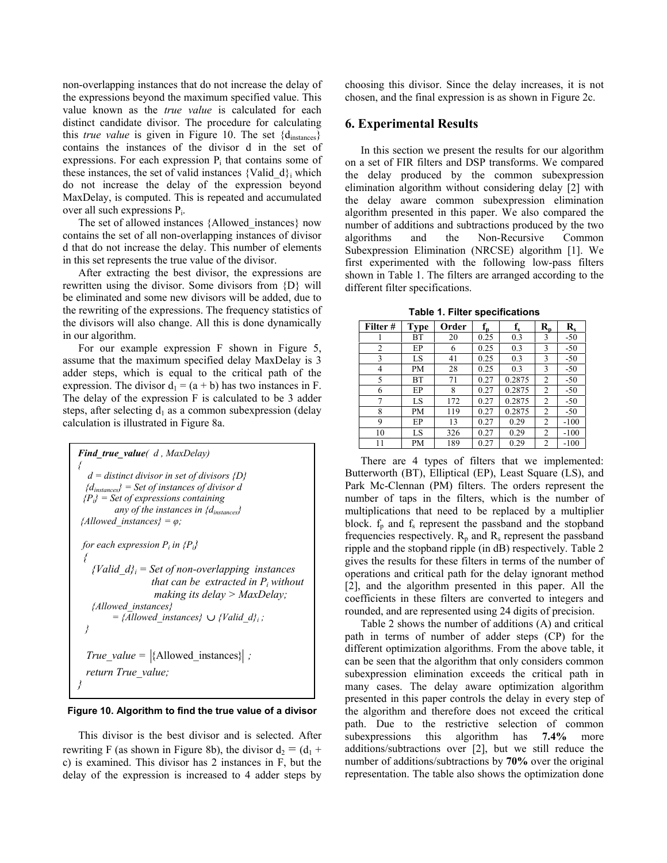non-overlapping instances that do not increase the delay of the expressions beyond the maximum specified value. This value known as the *true value* is calculated for each distinct candidate divisor. The procedure for calculating this *true value* is given in Figure 10. The set {d<sub>instances</sub>} contains the instances of the divisor d in the set of expressions. For each expression  $P_i$  that contains some of these instances, the set of valid instances {Valid  $d$ } which do not increase the delay of the expression beyond MaxDelay, is computed. This is repeated and accumulated over all such expressions Pi.

 The set of allowed instances {Allowed\_instances} now contains the set of all non-overlapping instances of divisor d that do not increase the delay. This number of elements in this set represents the true value of the divisor.

 After extracting the best divisor, the expressions are rewritten using the divisor. Some divisors from {D} will be eliminated and some new divisors will be added, due to the rewriting of the expressions. The frequency statistics of the divisors will also change. All this is done dynamically in our algorithm.

 For our example expression F shown in Figure 5, assume that the maximum specified delay MaxDelay is 3 adder steps, which is equal to the critical path of the expression. The divisor  $d_1 = (a + b)$  has two instances in F. The delay of the expression F is calculated to be 3 adder steps, after selecting  $d_1$  as a common subexpression (delay calculation is illustrated in Figure 8a.

```
Find_true_value( d , MaxDelay) 
{ 
   d = distinct divisor in set of divisors {D} 
  {dinstances} = Set of instances of divisor d 
 {Pi} = Set of expressions containing 
         any of the instances in {dinstances} 
{Allowed_instances} = \varphi;
for each expression P_i in \{P_i\} { 
   {Valid d_i = Set of non-overlapping instances
                  that can be extracted in P_i without
                    making its delay > MaxDelay; 
    {Allowed_instances} 
         = {Allowed_instances} ∪ {Valid_d}i ; 
 } 
  True value = {Alloved instances};
  return True_value; 
}
```
#### **Figure 10. Algorithm to find the true value of a divisor**

 This divisor is the best divisor and is selected. After rewriting F (as shown in Figure 8b), the divisor  $d_2 = (d_1 +$ c) is examined. This divisor has 2 instances in F, but the delay of the expression is increased to 4 adder steps by choosing this divisor. Since the delay increases, it is not chosen, and the final expression is as shown in Figure 2c.

### **6. Experimental Results**

 In this section we present the results for our algorithm on a set of FIR filters and DSP transforms. We compared the delay produced by the common subexpression elimination algorithm without considering delay [2] with the delay aware common subexpression elimination algorithm presented in this paper. We also compared the number of additions and subtractions produced by the two algorithms and the Non-Recursive Common Subexpression Elimination (NRCSE) algorithm [1]. We first experimented with the following low-pass filters shown in Table 1. The filters are arranged according to the different filter specifications.

**Table 1. Filter specifications** 

| Filter #       | <b>Type</b> | Order | $\mathbf{f}_{\mathbf{p}}$ | $f_{s}$ | $R_p$          | $\mathbf{R}_{\rm s}$ |
|----------------|-------------|-------|---------------------------|---------|----------------|----------------------|
|                | BT          | 20    | 0.25                      | 0.3     | 3              | $-50$                |
| $\overline{2}$ | EP          | 6     | 0.25                      | 0.3     | 3              | $-50$                |
| 3              | LS          | 41    | 0.25                      | 0.3     | 3              | $-50$                |
| 4              | PМ          | 28    | 0.25                      | 0.3     | 3              | $-50$                |
| 5              | ВT          | 71    | 0.27                      | 0.2875  | 2              | $-50$                |
| 6              | EP          | 8     | 0.27                      | 0.2875  | 2              | $-50$                |
| 7              | LS          | 172   | 0.27                      | 0.2875  | $\overline{2}$ | $-50$                |
| 8              | PМ          | 119   | 0.27                      | 0.2875  | $\overline{2}$ | $-50$                |
| 9              | EP          | 13    | 0.27                      | 0.29    | 2              | $-100$               |
| 10             | LS          | 326   | 0.27                      | 0.29    | 2              | $-100$               |
| 11             | PМ          | 189   | 0.27                      | 0.29    | $\overline{c}$ | $-100$               |

 There are 4 types of filters that we implemented: Butterworth (BT), Elliptical (EP), Least Square (LS), and Park Mc-Clennan (PM) filters. The orders represent the number of taps in the filters, which is the number of multiplications that need to be replaced by a multiplier block.  $f_p$  and  $f_s$  represent the passband and the stopband frequencies respectively.  $R_p$  and  $R_s$  represent the passband ripple and the stopband ripple (in dB) respectively. Table 2 gives the results for these filters in terms of the number of operations and critical path for the delay ignorant method [2], and the algorithm presented in this paper. All the coefficients in these filters are converted to integers and rounded, and are represented using 24 digits of precision.

 Table 2 shows the number of additions (A) and critical path in terms of number of adder steps (CP) for the different optimization algorithms. From the above table, it can be seen that the algorithm that only considers common subexpression elimination exceeds the critical path in many cases. The delay aware optimization algorithm presented in this paper controls the delay in every step of the algorithm and therefore does not exceed the critical path. Due to the restrictive selection of common subexpressions this algorithm has **7.4%** more additions/subtractions over [2], but we still reduce the number of additions/subtractions by **70%** over the original representation. The table also shows the optimization done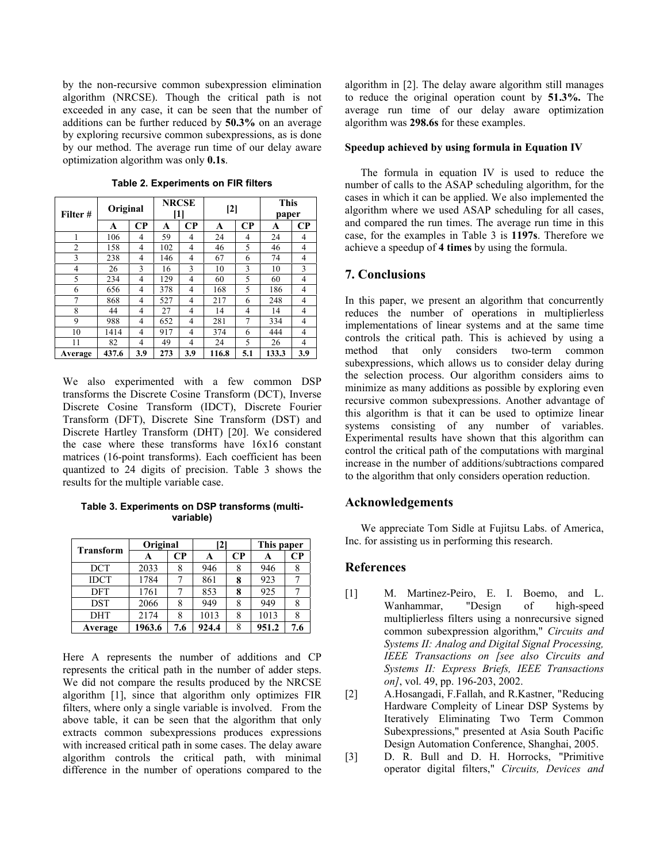by the non-recursive common subexpression elimination algorithm (NRCSE). Though the critical path is not exceeded in any case, it can be seen that the number of additions can be further reduced by **50.3%** on an average by exploring recursive common subexpressions, as is done by our method. The average run time of our delay aware optimization algorithm was only **0.1s**.

| Filter #       | Original |          | <b>NRCSE</b><br>[1] |          | $[2]$ |          | <b>This</b><br>paper |                |
|----------------|----------|----------|---------------------|----------|-------|----------|----------------------|----------------|
|                | A        | $\bf CP$ | A                   | $\bf CP$ | A     | $\bf CP$ | A                    | $\bf CP$       |
| 1              | 106      | 4        | 59                  | 4        | 24    | 4        | 24                   | 4              |
| $\overline{2}$ | 158      | 4        | 102                 | 4        | 46    | 5        | 46                   | $\overline{4}$ |
| 3              | 238      | 4        | 146                 | 4        | 67    | 6        | 74                   | 4              |
| 4              | 26       | 3        | 16                  | 3        | 10    | 3        | 10                   | 3              |
| 5              | 234      | 4        | 129                 | 4        | 60    | 5        | 60                   | 4              |
| 6              | 656      | 4        | 378                 | 4        | 168   | 5        | 186                  | 4              |
| 7              | 868      | 4        | 527                 | 4        | 217   | 6        | 248                  | 4              |
| 8              | 44       | 4        | 27                  | 4        | 14    | 4        | 14                   | 4              |
| 9              | 988      | 4        | 652                 | 4        | 281   | 7        | 334                  | 4              |
| 10             | 1414     | 4        | 917                 | 4        | 374   | 6        | 444                  | 4              |
| 11             | 82       | 4        | 49                  | 4        | 24    | 5        | 26                   | 4              |
| Average        | 437.6    | 3.9      | 273                 | 3.9      | 116.8 | 5.1      | 133.3                | 3.9            |

**Table 2. Experiments on FIR filters**

We also experimented with a few common DSP transforms the Discrete Cosine Transform (DCT), Inverse Discrete Cosine Transform (IDCT), Discrete Fourier Transform (DFT), Discrete Sine Transform (DST) and Discrete Hartley Transform (DHT) [20]. We considered the case where these transforms have 16x16 constant matrices (16-point transforms). Each coefficient has been quantized to 24 digits of precision. Table 3 shows the results for the multiple variable case.

**Table 3. Experiments on DSP transforms (multivariable)** 

| <b>Transform</b> | Original |          | $\mathbf{2}$ |          | This paper |          |
|------------------|----------|----------|--------------|----------|------------|----------|
|                  | А        | $\bf CP$ | А            | $\bf CP$ |            | $\bf CP$ |
| DCT              | 2033     | 8        | 946          | 8        | 946        |          |
| <b>IDCT</b>      | 1784     |          | 861          | 8        | 923        |          |
| <b>DFT</b>       | 1761     |          | 853          | 8        | 925        |          |
| <b>DST</b>       | 2066     |          | 949          |          | 949        |          |
| <b>DHT</b>       | 2174     | 8        | 1013         | 8        | 1013       |          |
| Average          | 1963.6   | 7.6      | 924.4        | 8        | 951.2      | 7.6      |

Here A represents the number of additions and CP represents the critical path in the number of adder steps. We did not compare the results produced by the NRCSE algorithm [1], since that algorithm only optimizes FIR filters, where only a single variable is involved. From the above table, it can be seen that the algorithm that only extracts common subexpressions produces expressions with increased critical path in some cases. The delay aware algorithm controls the critical path, with minimal difference in the number of operations compared to the algorithm in [2]. The delay aware algorithm still manages to reduce the original operation count by **51.3%.** The average run time of our delay aware optimization algorithm was **298.6s** for these examples.

#### **Speedup achieved by using formula in Equation IV**

 The formula in equation IV is used to reduce the number of calls to the ASAP scheduling algorithm, for the cases in which it can be applied. We also implemented the algorithm where we used ASAP scheduling for all cases, and compared the run times. The average run time in this case, for the examples in Table 3 is **1197s**. Therefore we achieve a speedup of **4 times** by using the formula.

#### **7. Conclusions**

In this paper, we present an algorithm that concurrently reduces the number of operations in multiplierless implementations of linear systems and at the same time controls the critical path. This is achieved by using a method that only considers two-term common subexpressions, which allows us to consider delay during the selection process. Our algorithm considers aims to minimize as many additions as possible by exploring even recursive common subexpressions. Another advantage of this algorithm is that it can be used to optimize linear systems consisting of any number of variables. Experimental results have shown that this algorithm can control the critical path of the computations with marginal increase in the number of additions/subtractions compared to the algorithm that only considers operation reduction.

# **Acknowledgements**

 We appreciate Tom Sidle at Fujitsu Labs. of America, Inc. for assisting us in performing this research.

### **References**

- [1] M. Martinez-Peiro, E. I. Boemo, and L. Wanhammar, "Design of high-speed multiplierless filters using a nonrecursive signed common subexpression algorithm," *Circuits and Systems II: Analog and Digital Signal Processing, IEEE Transactions on [see also Circuits and Systems II: Express Briefs, IEEE Transactions on]*, vol. 49, pp. 196-203, 2002.
- [2] A.Hosangadi, F.Fallah, and R.Kastner, "Reducing Hardware Compleity of Linear DSP Systems by Iteratively Eliminating Two Term Common Subexpressions," presented at Asia South Pacific Design Automation Conference, Shanghai, 2005.
- [3] D. R. Bull and D. H. Horrocks, "Primitive operator digital filters," *Circuits, Devices and*